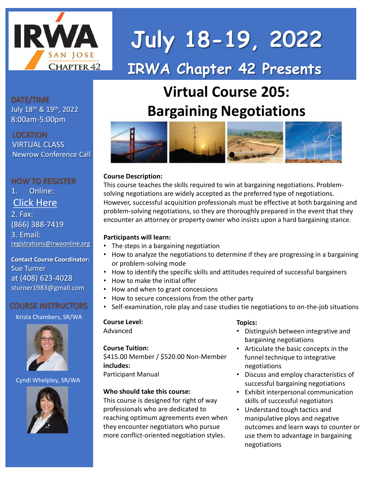

# **IRWA Chapter 42 Presents July 18-19, 2022**

# **Virtual Course 205: Bargaining Negotiations**



#### **Course Description:**

This course teaches the skills required to win at bargaining negotiations. Problemsolving negotiations are widely accepted as the preferred type of negotiations. However, successful acquisition professionals must be effective at both bargaining and problem-solving negotiations, so they are thoroughly prepared in the event that they encounter an attorney or property owner who insists upon a hard bargaining stance.

#### **Participants will learn:**

- The steps in a bargaining negotiation
- How to analyze the negotiations to determine if they are progressing in a bargaining or problem-solving mode
- How to identify the specific skills and attitudes required of successful bargainers
- How to make the initial offer
- How and when to grant concessions
- How to secure concessions from the other party
- Self-examination, role play and case studies tie negotiations to on-the-job situations

## **Course Level:**

Advanced

#### **Course Tuition:**

\$415.00 Member / \$520.00 Non-Member **includes:** Participant Manual

#### **Who should take this course:**

This course is designed for right of way professionals who are dedicated to reaching optimum agreements even when they encounter negotiators who pursue more conflict-oriented negotiation styles.

#### **Topics:**

- Distinguish between integrative and bargaining negotiations
- Articulate the basic concepts in the funnel technique to integrative negotiations
- Discuss and employ characteristics of successful bargaining negotiations
- Exhibit interpersonal communication skills of successful negotiators
- Understand tough tactics and manipulative ploys and negative outcomes and learn ways to counter or use them to advantage in bargaining negotiations

DATE/TIME July 18th & 19th, 2022 8:00am-5:00pm

#### LOCATION

VIRTUAL CLASS Newrow Conference Call

## HOW TO REGISTER 1. Online: [Click Here](https://eweb.irwaonline.org/eweb/ProfilePage.aspx?WebCode=CSCEventInfoSC&evt_key=238f98e5-5cc3-4ad3-b048-f13f09aedb5f)

2. Fax: (866) 388-7419 3. Email: [registrations@irwaonline.org](mailto:registrations@irwaonline.org)

**Contact Course Coordinator:** Sue Turner at (408) 623-4028 sturner1983@gmail.com

#### COURSE INSTRUCTORS

Krista Chambers, SR/WA



#### Cyndi Whelpley, SR/WA